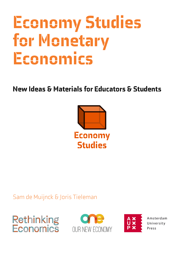# Economy Studies for Monetary Economics

New Ideas & Materials for Educators & Students



# Sam de Muijnck & Joris Tieleman







Amsterdam University Press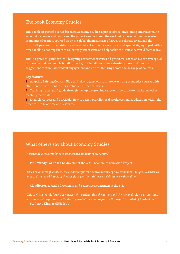#### The book Economy Studies

This booklet is part of a series based on Economy Studies, a project for re-envisioning and redesigning economics courses and programs. The project emerged from the worldwide movement to modernise economics education, spurred on by the global financial crisis of 2008, the climate crisis, and the COVID-19 pandemic. It envisions a wide variety of economics graduates and specialists, equipped with a broad toolkit, enabling them to collectively understand and help tackle the issues the world faces today.

This is a practical guide for (re-)designing economics courses and programs. Based on a clear conceptual framework and ten flexible building blocks, this handbook offers refreshing ideas and practical suggestions to stimulate student engagement and critical thinking across a wide range of courses.

#### **Key features**

1 Adapting Existing Courses: Plug-and-play suggestions to improve existing economics courses with attention to institutions, history, values and practical skills.

2 Teaching materials: A guide through the rapidly growing range of innovative textbooks and other teaching materials.

3 Example Courses and Curricula: How to design pluralist, real-world economics education within the practical limits of time and resources.

#### What others say about Economy Studies

*"A tremendous resource for both teachers and students of economics."*

Prof. **Wendy Carlin** (UCL), director of the CORE Economics Education Project

*"Based on a thorough analysis, the authors argue for a radical rethink of how economics is taught. Whether you agree or disagree with some of the specific suggestions, this book is definitely worth reading."*

**Claudio Borio**, Head of Monetary and Economic Department at the BIS.

*"This book is a tour de force. The mastery of the subject that the authors and their team display is astonishing. It was a source of inspiration for the development of the new program at the Vrije Universiteit of Amsterdam."*  Prof. **Arjo Klamer** (EUR & VU)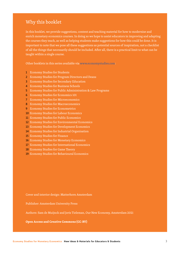#### Why this booklet

In this booklet, we provide suggestions, content and teaching material for how to modernise and enrich monetary economics courses. In doing so we hope to assist educators in improving and adapting the courses they teach, as well as helping students make suggestions for how this could be done. It is important to note that we pose all these suggestions as potential sources of inspiration, not a checklist of all the things that necessarily should be included. After all, there is a practical limit to what can be taught within a single course.

Other booklets in this series available via www.economystudies.com:

- 1 Economy Studies for Students
- 2 Economy Studies for Program Directors and Deans
- 3 Economy Studies for Secondary Education
- 4 Economy Studies for Business Schools
- 5 Economy Studies for Public Administration & Law Programs
- 6 Economy Studies for Economics 101
- 7 Economy Studies for Microeconomics
- 8 Economy Studies for Macroeconomics
- 9 Economy Studies for Econometrics
- 10 Economy Studies for Labour Economics
- 11 Economy Studies for Public Economics
- 12 Economy Studies for Environmental Economics
- 13 Economy Studies for Development Economics
- 14 Economy Studies for Industrial Organisation
- 15 Economy Studies for Finance
- 16 Economy Studies for Monetary Economics
- 17 Economy Studies for International Economics
- 18 Economy Studies for Game Theory
- 19 Economy Studies for Behavioural Economics

Cover and interior design: Matterhorn Amsterdam

Publisher: Amsterdam University Press

Authors: Sam de Muijnck and Joris Tieleman, Our New Economy, Amsterdam 2021

**Open Access and Creative Commons (CC-BY)**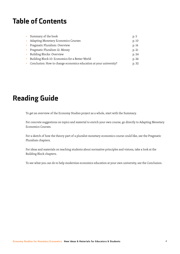# Table of Contents

|              | • Summary of the book                                             | p. 5  |
|--------------|-------------------------------------------------------------------|-------|
|              | <b>Adapting Monetary Economics Courses</b>                        | p. 10 |
|              | • Pragmatic Pluralism: Overview                                   | p. 16 |
|              | • Pragmatic Pluralism 12: Money                                   | p. 21 |
| $\mathbf{r}$ | Building Blocks: Overview                                         | p. 24 |
|              | Building Block 10: Economics for a Better World                   | p. 26 |
|              | Conclusion: How to change economics education at your university? | p. 32 |
|              |                                                                   |       |

# Reading Guide

To get an overview of the Economy Studies project as a whole, start with the Summary.

For concrete suggestions on topics and material to enrich your own course, go directly to Adapting Monetary Economics Courses.

For a sketch of how the theory part of a pluralist monetary economics course could like, see the Pragmatic Pluralism chapters.

For ideas and materials on teaching students about normative principles and visions, take a look at the Building Block chapters.

To see what you can do to help modernize economics education at your own university, see the Conclusion.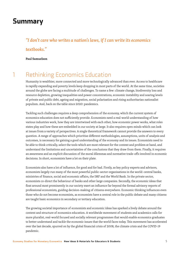# Summary

## *"I don't care who writes a nation's laws, if I can write its economics textbooks."*

#### **Paul Samuelson**

# 1 Rethinking Economics Education

Humanity is wealthier, more connected and more technologically advanced than ever. Access to healthcare is rapidly expanding and poverty levels keep dropping in most parts of the world. At the same time, societies around the globe are facing a multitude of challenges. To name a few: climate change, biodiversity loss and resource depletion, growing inequalities and power concentrations, economic instability and soaring levels of private and public debt, ageing and migration, social polarisation and rising authoritarian nationalist populism. And, back on the table since 2020: pandemics.

Tackling such challenges requires a deep comprehension of the economy, which the current system of economics education does not sufficiently provide. Economists need a real-world understanding of how various industries work, how they are intertwined with each other, how economic power works, what roles states play and how these are embedded in our society at large. It also requires open minds which can look at issues from a variety of perspectives. A single theoretical framework cannot provide the answers to every question. A range of approaches which prioritise different methodologies, assumptions, units of analysis and outcomes, is necessary for gaining a good understanding of the economy and its issues. Economists need to be able to think critically, select the tools which are most relevant for the context and problem at hand, and understand the limitations and uncertainties of the conclusions that they draw from them. Finally, it requires an awareness and an explicit discussion of the moral dilemmas and normative trade-offs involved in economic decisions. In short, economists have a lot on their plate.

Economists also have a lot of influence, for good and for bad. Firstly, as key policy experts and advisors, economists largely run many of the most powerful public-sector organisations in the world: central banks, ministries of finance, social and economic affairs, the IMF and the World Bank. In the private sector, economists co-direct the behaviour of banks and other large companies. Secondly, the economic ideas that float around most prominently in our society exert an influence far beyond the formal advisory reports of professional economists, guiding decision-making of citizens everywhere. Economic thinking influences even those who do not become economists, as economists have a central role in the public debate and many citizens are taught basic economics in secondary or tertiary education.

The growing societal importance of economists and economic ideas has sparked a lively debate around the content and structure of economics education. A worldwide movement of students and academics calls for more pluralist, real-world focused and socially relevant programmes that would enable economics graduates to better understand and tackle the economic issues that the world faces today. This movement has accelerated over the last decade, spurred on by the global financial crisis of 2008, the climate crisis and the COVID-19 pandemic.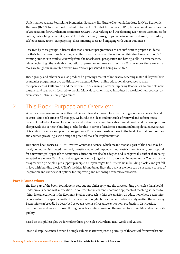Under names such as Rethinking Economics, Netzwerk für Plurale Ökonomik, Institute for New Economic Thinking (INET), International Student Initiative for Pluralist Economics (ISIPE), International Confederation of Associations for Pluralism in Economics (ICAPE), Diversifying and Decolonising Economics, Economists for Future, Reteaching Economics, and Oikos International, these groups come together for dissent, discussion, self-education, action, campaigning, disseminating ideas and engaging with wider audiences.

Research by these groups indicates that many current programmes are not sufficient to prepare students for their future roles in society. They are often organised around the notion of 'thinking like an economist': training students to think exclusively from the neoclassical perspective and having skills in econometrics, while neglecting other valuable theoretical approaches and research methods. Furthermore, these analytical tools are taught in an overly abstract way and are presented as being value-free.

These groups and others have also produced a growing amount of innovative teaching material, beyond how economics programmes are traditionally structured. From online educational resources such as the open access CORE project and the bottom-up e-learning platform Exploring Economics, to multiple new pluralist and real-world focused textbooks. Many departments have introduced a wealth of new courses, or even started entirely new programmes.

# 2 This Book: Purpose and Overview

What has been missing so far in this field is an integral approach for constructing economics curricula and courses. This book aims to fill that gap. We bundle the ideas and materials of renewal and reform into a coherent multi-level vision for economics education: its overarching structure, its goals and its principles. We also provide the concrete building blocks for this in terms of academic content, including detailed overviews of teaching materials and practical suggestions. Finally, we translate these to the level of actual programmes and courses, providing a wide range of practical tools for implementation.

This entire book carries a CC-BY Creative Commons licence, which means that any part of the book may be freely copied, redistributed, remixed, transformed or built upon, without restrictions. As such, our proposal for a new integral approach to economics education can also be adopted and used partially, rather than being accepted as a whole. Each idea and suggestion can be judged and incorporated independently. You can totally disagree with principle 1 yet support principle 3. Or you might find little value in building block 5 and yet fall in love with building block 9. That's the idea: it's modular. Thus, the book as a whole can be used as a source of inspiration and overview of options for improving and renewing economics education.

#### Part I: Foundations

The first part of the book, Foundations, sets out our philosophy and the three guiding principles that should underpin any economist's education. In contrast to the currently common approach of teaching students to 'think like an economist', the Economy Studies approach is this: We envision an education where economics is not centred on a specific method of analysis or thought, but rather centred on a study matter, the economy. Economies can broadly be described as open systems of resource extraction, production, distribution, consumption and waste disposal through which societies provision themselves to sustain life and enhance its quality.

Based on this philosophy, we formulate three principles: Pluralism, Real-World and Values.

First, a discipline centred around a single subject matter requires a plurality of theoretical frameworks: one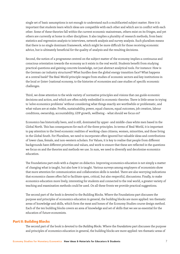single set of basic assumptions is not enough to understand such a multifaceted subject matter. Here it is important that students learn which ideas are compatible with each other and which are in conflict with each other. Some of these theories fall within the current economic mainstream, others exist on its fringes, and yet others are currently at home in other disciplines. It also implies a plurality of research methods, from basic statistics and regression analysis to interviews, network analysis and survey analysis. Such pluralism means that there is no single dominant framework, which might be more difficult for those receiving economic advice, but is ultimately beneficial for the quality of analysis and the resulting decisions.

Second, the notion of a programme centred on the subject matter of the economy implies a continuous and conscious orientation towards the economy as it exists in the real world. Students benefit from studying practical questions and gaining concrete knowledge, not just abstract analytical tools. For instance: How is the German car industry structured? What hurdles does the global energy transition face? What happens at a central bank? The Real-World principle ranges from studies of economic sectors and key institutions in the local or (inter-)national economy, to the histories of economies and case studies of specific economic challenges.

Third, we draw attention to the wide variety of normative principles and visions that can guide economic decisions and action, and which are often subtly embedded in economic theories. There is little sense in trying to 'solve economics problems' without considering what things exactly are worthwhile or problematic, and what values are at stake. Profits, sustainability, power, equal chances, equal outcomes, job creation, labour conditions, ownership, accountability, GDP growth, wellbeing – what should we focus on?

Economics has historically been, and is still, dominated by upper- and middle-class white men based in the Global North. This has consequences for each of the three principles. In terms of Real-World, it is important to pay attention to the lived economic realities of working-class citizens, women, minorities, and those living in the Global South. For Pluralism, we need to incorporate often ignored but valuable ideas and contributions of lower class, female, and non-western scholars. For Values, it is key to realise that people from different backgrounds have different priorities and values, and work to ensure that these are reflected in the questions we focus on and the theories and methods we use. In sum, we need to diversify and decolonise economics education.

The Foundations part ends with a chapter on didactics. Improving economics education is not simply a matter of changing what is taught, but also how it is taught. Various surveys among employers of economists show that more attention for communication and collaboration skills is needed. There are also worrying indications that economics classes often fail to facilitate open, critical, but also respectful, discussions. Finally, to make economics education more lively, interesting for students and connected to the real world, a greater variety of teaching and examination methods could be used. On all these fronts we provide practical suggestions.

The second part of the book is devoted to the Building Blocks. Where the Foundations part discusses the purpose and principles of economics education in general, the building blocks are more applied: ten thematic areas of knowledge and skills, which form the meat and bones of the Economy Studies course design method. Each of the ten building blocks covers an area of knowledge and set of skills that we see as essential for the education of future economists.

#### Part II: Building Blocks

The second part of the book is devoted to the *Building Blocks*. Where the *Foundations* part discusses the purpose and principles of economics education in general, the building blocks are more applied: ten thematic areas of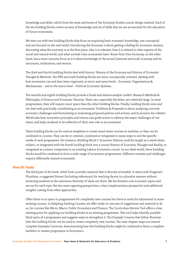knowledge and skills, which form the meat and bones of the Economy Studies course design method. Each of the ten building blocks covers an area of knowledge and set of skills that we see as essential for the education of future economists.

We start out with two building blocks that focus on acquiring basic economic knowledge, one conceptual and one focused on the real world. Introducing the Economy is about getting a feeling for economic matters, discussing what the economy is in the first place, why it is relevant, how it is related to other aspects of the social and natural world, and what societal roles economists have. Know Your Own Economy, on the other hand, has a more concrete focus as it is about knowledge of the actual (national and local) economy and its structures, institutions, and sectors.

The third and fourth building blocks deal with history: History of the Economy and History of Economic Thought & Methods. The fifth and sixth building blocks are more conceptually oriented, dealing with how economies can and have been organised, at micro and meso levels – Economic Organisations & Mechanisms – and at the macro level – Political-Economic Systems.

The seventh and eighth building blocks provide a broad and diverse analytic toolkit: Research Methods & Philosophy of Science and Economic Theories. These two, especially the latter, are relatively large. In most programmes, they will require more space than the other building blocks. Finally, building blocks nine and ten deal with practically contributing as an economist: Problems & Proposals is about analysing concrete economic challenges and formulating or evaluating proposed policies and actions, and Economics for a Better World asks how normative principles and visions can guide action to address the major challenges of our times, and helps students to be reflective of their own role as an economist

These building blocks can be used as templates to create stand-alone courses or modules, or they can be combined in courses. They can be re-ordered, combined or integrated in many ways to suit the specific needs of each programme. For instance, Building Block 3: Economic History could be taught as a stand-alone subject, or integrated with the fourth building block into a course History of Economic Thought and Reality, or integrated as a minor component in an existing Labour Economics course. In our ideal world, these building blocks would be combined to form a wide range of economics programmes. Different contexts and challenges require differently trained economists.

#### Part III: Tools

The third part of the book, titled Tools, provides material that is directly actionable. It starts with Pragmatic Pluralism, a suggested format (including references) for teaching theory in a pluralist manner without drowning students in the enormous diversity of ideas out there. We list thirteen core economic topics and set out for each topic the two main opposing perspectives, a key complementary perspective and additional insights coming from other approaches.

Often there is no space in programmes for completely new courses but there is room for adjustment in some existing courses. In Adapting Existing Courses, we offer ready-to-use sets of suggestions and material to do so, for courses like Micro, Macro, Public Economics and Finance. The Curriculum Review Tool offers a clear starting point for applying our building blocks to an existing programme. This tool helps identify possible blind spots of a programme and suggests ways to strengthen it. The Example Courses that follow illustrate how the building blocks can be used to create completely new courses. The next chapter maps out several complete Example Curricula, demonstrating how the building blocks might be combined to form a complete bachelor or master programme in Economics.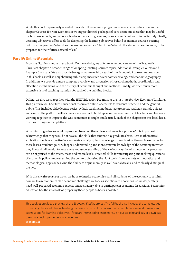While this book is primarily oriented towards full economics programmes in academic education, in the chapter Courses for Non-Economists we suggest limited packages of core economic ideas that may be useful for business schools, secondary school economics programmes, in an academic minor or for self-study. Finally, Learning Objectives offers tools for designing the learning objectives behind economics courses, starting not from the question 'what does the teacher know best?' but from 'what do the students need to know, to be prepared for their future societal roles?'.

#### Part IV: Online Materials

Economy Studies is more than a book. On the website, we offer an extended version of the Pragmatic Pluralism chapter, a broader range of Adapting Existing Courses topics, additional Example Courses and Example Curricula. We also provide background material on each of the Economic Approaches described in this book, as well as neighbouring sub-disciplines such as economic sociology and economic geography. In addition, we provide a more complete overview and discussion of research methods, coordination and allocation mechanisms, and the history of economic thought and methods. Finally, we offer much more extensive lists of teaching materials for each of the building blocks.

Online, we also work together with the INET Education Program, at the Institute for New Economic Thinking. This platform will host free educational resources online, accessible to students, teachers and the general public. This includes video lecture series, syllabi, teaching modules, lecture notes, readings, sample quizzes and exams. The platform will also serve as a center to build up an online community of teachers and learners, working together to improve the way economics is taught and learned. Each of the chapters in this book has a discussion page on that platform.

What kind of graduates would a program based on these ideas and materials produce? It is important to acknowledge that they would not have all the skills that current-day graduates have. Less mathematical sophistication, less expertise in econometric analysis, less knowledge of neoclassical theory. In exchange for these losses, students gain: A deeper understanding and more concrete knowledge of the economy in which they live and will work. An awareness and understanding of the various ways in which economic processes can be organised at the micro, meso and macro levels. Practical skills for investigating and tackling questions of economic policy: understanding the context, choosing the right tools, from a variety of theoretical and methodological approaches. And the ability to argue morally as well as analytically, and to clearly distinguish the two.

With this *creative commons* work, we hope to inspire economists and all students of the economy to rethink how we learn economics. The economic challenges we face as societies are enormous, so we desperately need well-prepared economic experts and a citizenry able to participate in economic discussions. Economics education has the vital task of preparing these people as best as possible.

This booklet provides a preview of the *Economy Studies* project. The full book also includes the complete set of building blocks, additional teaching materials, a curriculum review tool, example courses and curricula and suggestions for learning objectives. If you are interested to learn more, visit our website and buy or download the whole book, open access, or contact us. economy.st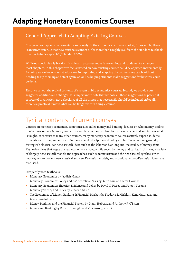# Adapting Monetary Economics Courses

#### General Approach to Adapting Existing Courses

Change often happens incrementally and slowly. In the economics textbook market, for example, there is an unwritten rule that new textbooks cannot differ more than roughly 15% from the standard textbook in order to be 'acceptable' (Colander, 2003).

While our book clearly breaks this rule and proposes more far-reaching and fundamental changes in most chapters, in this chapter we focus instead on how existing courses could be adjusted incrementally. By doing so, we hope to assist educators in improving and adapting the courses they teach without needing to rip them up and start again, as well as helping students make suggestions for how this could be done.

First, we set out the typical contents of current public economics courses. Second, we provide our suggested additions and changes. It is important to note that we pose all these suggestions as potential sources of inspiration, not a checklist of all the things that necessarily should be included. After all, there is a practical limit to what can be taught within a single course.

### Typical contents of current courses

Courses on monetary economics, sometimes also called money and banking, focuses on what money, and its role in the economy, is. Policy concerns about how money can best be managed are central and inform what is taught. In contrast to many other courses, many monetary economics courses actively expose students to debates and disagreements within the academic discipline and policy circles. These courses generally distinguish classical (or neoclassical) ideas such as the (short and/or long run) neutrality of money, from Keynesian ideas that argue the real economy is strongly influenced by money and banks. In this way, a variety of (largely neoclassical) models and approaches, such as monetarism and the neoclassical synthesis with neo-Keynesian models, new classical and new Keynesian models, and occasionally post-Keynesian ideas, are discussed.

Frequently used textbooks::

- Monetary Economics by Jagdish Handa
- Monetary Economics: Policy and its Theoretical Basis by Keith Bain and Peter Howells
- Monetary Economics: Theories, Evidence and Policy by David G. Pierce and Peter J. Tysome
- Monetary Theory and Policy by Vincent Walsh
- The Economics of Money, Banking & Financial Markets by Frederic S. Mishkin, Kent Matthews, and Massimo Giuliodori
- Money, Banking, and the Financial System by Glenn Hubbard and Anthony P. O'Brien
- Money and Banking by Robert E. Wright and Vincenzo Quadrini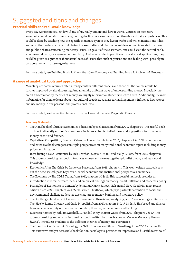## Suggested additions and changes

#### Practical skills and real-world knowledge

Every day we use money. Yet few, if any of us, really understand how it works. Courses on monetary economics could benefit from strengthening the link between the abstract theories and daily experiences. This could be done by teaching how the specific monetary system they live in works and which institutions it has and what their roles are. One could bring in case studies and discuss recent developments related to money and public debates concerning monetary issues. To go out of the classroom, one could visit the central bank, a commercial bank, or a government ministry. And to let students practice with real world applications, they could be given assignments about actual cases of issues that such organisations are dealing with, possibly in collaboration with those organisations.

For more detail, see Building Block 2: Know Your Own Economy and Building Block 9: Problems & Proposals.

#### A range of analytical tools and approaches

Monetary economics courses often already contain different models and theories. The courses could be further improved by also discussing fundamentally different ways of understanding money. Especially the credit and commodity theories of money are highly relevant for students to learn about. Additionally, it can be informative for them to learn about how cultural practices, such as earmarking money, influence how we see and use money in our personal and professional lives.

For more detail, see the section Money in the background material Pragmatic Pluralism.

- The Handbook of Pluralist Economics Education by Jack Reardon, from 2009, chapter 14. This useful book on how to diversify economics programs, includes a chapter full of ideas and suggestions for courses on money, credit and finance.
- Capitalism: Competition, Conflict, Crises by Anwar Shaikh, from 2016, chapters 5 & 15. This impressive and extensive book compares multiple perspectives on many traditional economic topics including money, prices and inflation.
- Introducing a New Economics by Jack Reardon, Maria A. Madi, and Molly S. Cato, from 2017, chapter 8. This ground-breaking textbook introduces money and weaves together pluralist theory and real-world knowledge.
- Economics After The Crisis by Irene van Staveren, from 2015, chapter 11. This well-written textbook sets out the neoclassical, post-Keynesian, social economic and institutional perspectives on money.
- The Economy by The CORE Team, from 2017, chapters 10 & 15. This successful textbook provides an introduction into mainstream ideas and empirical findings on money, credit, inflation and monetary policy.
- Principles of Economics in Context by Jonathan Harris, Julie A. Nelson and Neva Goodwin, most recent edition from 2020, chapters 26 & 27. This useful textbook, which pays particular attention to social and environmental challenges, devotes two chapters to money, banking and monetary policy.
- The Routledge Handbook of Heterodox Economics: Theorizing, Analyzing, and Transforming Capitalism by Tae-Hee Jo, Lynne Chester, and Carlo D'Ippoliti, from 2017, chapters 5, 7, 17, 18 & 19. This broad and diverse book sets out a variety of theories on monetary theories, value, money, and banking.
- Macroeconomics by William Mitchell, L. Randall Wray, Martin Watts, from 2019, chapters 9 & 10. This ground-breaking and much-discussed textbook written by three leaders of Modern Monetary Theory (MMT), introduces students to the different theories of money and currencies.
- The Handbook of Economic Sociology by Neil J. Smelser and Richard Swedberg, from 2005, chapter 16. This extensive and yet accessible book for non-sociologists, provides an impressive and useful overview of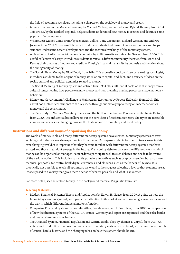the field of economic sociology, including a chapter on the sociology of money and credit.

- Money Creation in the Modern Economy by Michael McLeay, Amar Radia and Ryland Thomas, from 2014. This article, by the Bank of England, helps students understand how money is created and debunks some popular misconceptions.
- Where Does Money Come From? by Josh Ryan-Collins, Tony Greenham, Richard Werner, and Andrew Jackson, from 2011. This accessible book introduces students to different ideas about money and helps students understand recent developments and the technical workings of the monetary system.
- A Handbook of Alternative Monetary Economics by Philip Arestis and Malcolm Sawyer, from 2006. This useful collection of essays introduces students to various different monetary theories, from Marx and Keynes their theories of money and credit to Minsky's financial instability hypothesis and theories about the endogeneity of money.
- The Social Life of Money by Nigel Dodd, from 2014. This accessible book, written by a leading sociologist, introduces students to the origins of money, its relation to capital and debt, and a variety of ideas on the social, cultural and political dynamics related to money.
- The Social Meaning of Money by Viviana Zelizer, from 1994. This influential book looks at money from a cultural lens, showing how people earmark money and how meaning making processes shape monetary behaviour.
- Money and Government: A Challenge to Mainstream Economics by Robert Skidelsky, from 2019. This useful book introduces students to the key ideas throughout history up to today on macroeconomics, money and the government.
- The Deficit Myth: Modern Monetary Theory and the Birth of the People's Economy by Stephanie Kelton, from 2020. This influential bestseller sets out the core ideas of Modern Monetary Theory in an accessible manner and argues for changing how we think about and do monetary and fiscal policy.

#### Institutions and different ways of organising the economy

The world of money is old and many different monetary systems have existed. Monetary systems are ever evolving and today we are also experiencing this change. To prepare students for their future career in this ever changing world, it is important that they become familiar with different monetary systems that have existed and those that might emerge in the future. Many policy debates concern the different ways in which money can be organised or managed, so in order to participate well in such debates one needs to be aware of the various options. This includes currently popular alternatives such as cryptocurrencies, but also more technical proposals for central bank digital currencies, and old ideas such as the bancor of Keynes. It is practically not possible to teach all options, so we would rather suggest selecting a few, so that students are at least exposed to a variety that gives them a sense of what is possible and what is advocated.

For more detail, see the section Money in the background material Pragmatic Pluralism.

- Modern Financial Systems: Theory and Applications by Edwin H. Neave, from 2009. A guide on how the financial system is organized, with particular attention to its market and nonmarket governance forms and the way in which different financial markets function.
- Comparing Financial Systems by Franklin Allen, Douglas Gale, and Julius Silver, from 2000. A comparison of how the financial systems of the US, UK, France, Germany and Japan are organized and the roles banks and financial markets have in them.
- The Financial System, Financial Regulation and Central Bank Policy by Thomas F. Cargill, from 2017. An extensive introduction into how the financial and monetary system is structured, with attention to the role of central banks, history, and the changing ideas on how the system should be run.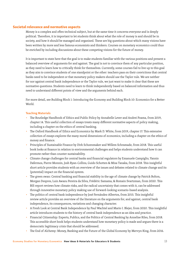#### Societal relevance and normative aspects

Money is a complex and often technical subject, but at the same time it concerns everyone and is deeply political. Therefore, it is important to let students think about what the role of money is and should be in society, and how it should be managed and organised. These are big questions about which many visions have been written by more and less famous economists and thinkers. Courses on monetary economics could thus be enriched by including discussions about these competing visions for the future of money.

It is important to state here that the goal is to make students familiar with the various positions and present a balanced overview of arguments for and against. The goal is not to convince them of any particular position, as they need to learn how to critically think for themselves. Currently, some courses fail to live up to this goal as they aim to convince students of one standpoint or the other: teachers pass on their convictions that central banks need to be independent or that monetary policy makers should use the Taylor rule. We are neither for nor against central bank independence or the Taylor rule, we just want to make it clear that these are normative questions. Students need to learn to think independently based on balanced information and thus need to understand different points of view and the arguments behind each.

For more detail, see Building Block 1: Introducing the Economy and Building Block 10: Economics for a Better World.

- The Routledge Handbook of Ethics and Public Policy by Annabelle Lever and Andrei Poama, from 2019, chapter 14. This useful collection of essays treats many different normative aspects of policy making, including a chapter on the ethics of central banking.
- The Oxford Handbook of Ethics and Economics by Mark D. White, from 2019, chapter 17. This extensive collection of essays explores the many moral dimensions of economics, including a chapter on the ethics of money and finance.
- Principles of Sustainable Finance by Dirk Schoenmaker and Willem Schramade, from 2018. This useful book looks at finance in relation to environmental challenges and helps students understand how it can promote rather than counter sustainability.
- Climate change challenges for central banks and financial regulators by Emanuele Campiglio, Yannis Dafermos, Pierre Monnin, Josh Ryan-Collins, Guido Schotten & Misa Tanaka, from 2018. This insightful short article provides students with an overview of the issues and debates related to climate change and its (potential) impact on the financial system.
- The green swan: Central banking and financial stability in the age of climate change by Patrick Bolton, Morgan Despres, Luiz Awazu Pereira da Silva, Frédéric Samama, & Romain Svartzman, from 2020. This BIS report reviews how climate risks, and the radical uncertainty that comes with it, can be addressed through innovative monetary policy making use of forward-looking scenario-based analysis.
- The politics of central bank independence by José Fernández-Albertos, from 2015. This insightful review article provides an overview of the literature on the arguments for, and against, central bank independence, its consequences, variations and changing character.
- A Fresh Look at Central Bank Independence by Paul Wachtel and Mario I. Blejer, from 2020. This insightful article introduces students to the history of central bank independence as an idea and practice.
- Financial Citizenship: Experts, Publics, and the Politics of Central Banking by Annelise Riles, from 2018. This accessible short book helps students understand how monetary policy is made and argues there is a democratic legitimacy crisis that should be addressed.
- The End of Alchemy: Money, Banking and the Future of the Global Economy by Mervyn King, from 2016.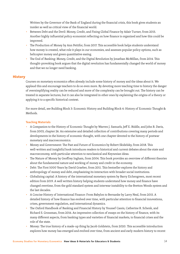Written by the Governor of the Bank of England during the financial crisis, this book gives students an insider as well as critical view of the financial world.

- Between Debt and the Devil: Money, Credit, and Fixing Global Finance by Adair Turner, from 2015. Another highly influential policy economist reflecting on how finance is organized and how this could be improved.
- The Production of Money by Ann Pettifor, from 2017. This accessible book helps students understand how money is created, what role it plays in our economies, and assesses popular policy options, such as helicopter money and green quantitative easing.
- The End of Banking: Money, Credit, and the Digital Revolution by Jonathan McMillan, from 2014. This thought-provoking book argues that the digital revolution has fundamentally changed the world of money and that we no longer need banking.

#### **History**

Courses on monetary economics often already include some history of money and the ideas about it. We applaud this and encourage teachers to do so even more. By devoting more teaching time to history the danger of oversimplifying reality can be reduced and more of the complexity can be brought out. The history can be treated in separate lectures, but it can also be integrated in other ones by explaining the origins of a theory or applying it to a specific historical context.

For more detail, see Building Block 3: Economic History and Building Block 4: History of Economic Thought & Methods.

- A Companion to the History of Economic Thought by Warren J. Samuels, Jeff E. Biddle, and John B. Davis, from 2003, chapter 26. An extensive and detailed collection of contributions covering many periods and developments in the history of economic thought, with one chapter devoted to the history of postwar monetary and macroeconomics.
- Money and Government: The Past and Future of Economics by Robert Skidelsky, from 2018. This well-written and insightful book introduces readers to historical and current debates about the state and macroeconomy, with particular attention to neoclassical and Keynesian ideas.
- The Nature of Money by Geoffrey Ingham, from 2004. This book provides an overview of different theories about the fundamental nature and working of money and credit in the economy.
- Debt: The First 5000 Years by David Graeber, from 2011. This bestseller explores the history and anthropology of money and debt, emphasizing its interaction with broader social institutions.
- Globalizing capital: A history of the international monetary system by Barry Eichengreen, most recent edition from 2019. A well written history helping students understand how money and finance have changed overtime, from the gold standard system and interwar instability to the Bretton Woods system and the last decades.
- A Concise History of International Finance: From Babylon to Bernanke by Larry Neal, from 2015. A detailed history of how finance has evolved over time, with particular attention to financial innovations, crises, government regulation, and international dynamics.
- The Oxford Handbook of Banking and Financial History by Youssef Cassis, Catherine R. Schenk, and Richard S. Grossman, from 2016. An impressive collection of essays on the history of finance, with its many different aspects, from banking types and varieties of financial markets, to financial crises and the role of the state.
- Money: The true history of a made-up thing by Jacob Goldstein, from 2020. This accessible introduction explores how money has emerged and evolved over time, from ancient and early modern history to recent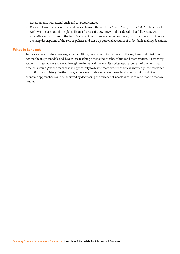developments with digital cash and cryptocurrencies.

■ Crashed: How a decade of financial crises changed the world by Adam Tooze, from 2018. A detailed and well-written account of the global financial crisis of 2007-2008 and the decade that followed it, with accessible explanations of the technical workings of finance, monetary policy, and theories about it as well as sharp descriptions of the role of politics and close up personal accounts of individuals making decisions.

#### What to take out

To create space for the above suggested additions, we advise to focus more on the key ideas and intuitions behind the taught models and devote less teaching time to their technicalities and mathematics. As teaching students to reproduce and work through mathematical models often takes up a large part of the teaching time, this would give the teachers the opportunity to devote more time to practical knowledge, the relevance, institutions, and history. Furthermore, a more even balance between neoclassical economics and other economic approaches could be achieved by decreasing the number of neoclassical ideas and models that are taught.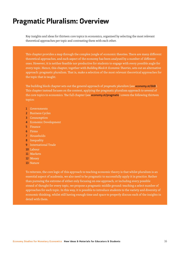# Pragmatic Pluralism: Overview

Key insights and ideas for thirteen core topics in economics, organised by selecting the most relevant theoretical approaches per topic and contrasting them with each other.

This chapter provides a map through the complex jungle of economic theories. There are many different theoretical approaches, and each aspect of the economy has been analysed by a number of different ones. However, it is neither feasible nor productive for students to engage with every possible angle for every topic. Hence, this chapter, together with *Building Block 8: Economic Theories*, sets out an alternative approach: pragmatic pluralism. That is, make a selection of the most relevant theoretical approaches for the topic that is taught.

The building block chapter sets out the general approach of *pragmatic pluralism* (see economy.st/bb8). This chapter instead focuses on the content, applying the pragmatic pluralism approach to several of the core topics in economics. The full chapter (see economy.st/pragmatic) covers the following thirteen topics:

- 1 Governments
- 2 Business Cycles
- 3 Consumption
- 4 Economic Development
- 5 Finance
- 6 Firms
- 7 Households
- 8 Inequality
- 9 International Trade
- 10 Labour
- 11 Markets
- 12 Money
- 13 Nature

To reiterate, the core logic of this approach to teaching economic theory is that whilst pluralism is an essential aspect of academia, we also need to be pragmatic to successfully apply it in practice. Rather than pursuing the extreme of either only focusing on one approach, or including every possible strand of thought for every topic, we propose a pragmatic middle ground: teaching a select number of approaches for each topic. In this way, it is possible to introduce students to the variety and diversity of economic thinking, whilst still having enough time and space to properly discuss each of the insights in detail with them.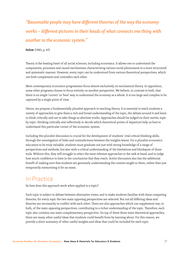*"Reasonable people may have different theories of the way the economy works − different pictures in their heads of what connects one thing with another in the economic system."* 

**Solow** (1983, p. 67)

Theory is the beating heart of all social sciences, including economics. It allows one to understand the components, processes and causal mechanisms characterising various social phenomena in a more structured and systematic manner. However, every topic can be understood from various theoretical perspectives, which can both complement and contradict each other.

Most contemporary economics programmes focus almost exclusively on neoclassical theory. In opposition, some other programs choose to focus entirely on another perspective. We believe, in contrast to both, that there is no single 'correct' or 'best' way to understand the economy as a whole. It is too large and complex to be captured by a single point of view.

Hence, we propose a fundamentally pluralist approach to teaching theory. It is essential to teach students a variety of approaches to give them a rich and broad understanding of the topic, the debate around it and learn to think critically and not to take things as absolute truths. Approaches should be judged on their merits, topic by topic: thinking critically and reflectively to decide which theoretical points of departure help us best to understand this particular corner of the economic system.

Including this pluralist discussion is crucial for the development of students' vital critical thinking skills, through the investigation of links and contradictions between the insights learnt. For a pluralist economics education to be truly valuable, students must graduate not just with strong knowledge of a range of perspectives and methods, but also with a critical understanding of the limitations and blindspots of those tools. Without this, they will struggle to select the most relevant approaches to the task at hand, and to judge how much confidence to have in the conclusions that they reach. Active discussion also has the additional benefit of making sure that students are genuinely understanding the content taught to them, rather than just temporarily memorising it for an exam.

### In Practice

So how does this approach work when applied to a topic?

Each topic is subject to debate between alternative views, and to make students familiar with these competing theories, for every topic the two main opposing perspectives are selected. But not all differing ideas and theories are necessarily in conflict with each other. There are also approaches which can supplement one, or both, of the main opposing perspectives, contributing to a richer understanding of the topic. Therefore, each topic also contains one main complementary perspective. On top of these three main theoretical approaches, there are many other useful ideas that students could benefit from by learning about. For this reason, we provide a short summary of other useful insights and ideas that could be included for each topic.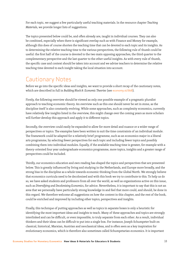For each topic, we suggest a few particularly useful teaching materials. In the resource chapter *Teaching Materials*, we provide longer lists of suggestions.

The topics presented below could be, and often already are, taught in individual courses. They can also be combined, especially when there is significant overlap such as with Finance and Money for example, although this does of course shorten the teaching time that can be devoted to each topic and its insights. As to determining the relative teaching time to the various perspectives, the following rule of thumb could be useful: the first half of the course is devoted to the two main opposing approaches, the third quarter to the complementary perspective and the last quarter to the other useful insights. As with every rule of thumb, the specific case and context should be taken into account and we advise teachers to determine the relative teaching time devoted to each insight taking the local situation into account.

### Cautionary Notes

Before we go into the specific ideas and insights, we want to provide a short recap of the cautionary notes, which are described in full in *Building Block 8: Economic Theories* (see economy.st/bb8).

Firstly, the following overview should be viewed as only one possible example of a pragmatic pluralist approach to teaching economic theory. An overview such as this one should never be set in stone, as the discipline itself is also constantly evolving. While some approaches, such as complexity economics, currently have relatively few insights listed in the overview, this might change over the coming years as more scholars will further develop this approach and apply it to different topics.

Secondly, the overview could easily be expanded to allow for more detail and nuance or a wider range of perspectives or topics. The examples have been written to suit the time constraints of an individual module. The framework could be adapted for a relatively brief programme, such as an economics major in a liberal arts programme, by selecting fewer perspectives for each topic and including fewer topics and possibly combining them into individual modules. Equally, if the available teaching time is greater, for example with a theory-oriented four year undergraduate economics programme, more topics, insights and a greater range of perspectives could be included.

Thirdly, our economics education and own reading has shaped the topics and perspectives that are presented below. This is greatly influenced by living and studying in the Netherlands, and Europe more broadly, and the strong bias in the discipline as a whole towards economic thinking from the Global North. We strongly believe that economics curricula need to be decolonised and with this book we try to contribute to this. To help us do so, we have asked students and professors from all over the world, as well as organizations active on this issue, such as *Diversifying and Decolonising Economics*, for advice. Nevertheless, it is important to say that this is not an area that we personally have particularly strong knowledge in and feel that more could, and should, be done in this regard. We therefore welcome all suggestions on how the content in this chapter, and the rest of the book, could be enriched and improved by including other topics, perspectives and insights.

Finally, this technique of putting approaches as well as topics in separate boxes is only a heuristic for identifying the most important ideas and insights to teach. Many of these approaches and topics are strongly interlinked and can be difficult, or even impossible, to truly separate from each other. As a result, individual thinkers and their ideas can be difficult to put into a single box. For instance, Joseph Schumpeter built on classical, historical, Marxian, Austrian and neoclassical ideas, and is often seen as a key inspiration for evolutionary economics, which is therefore also sometimes called Schumpetarian economics. It is important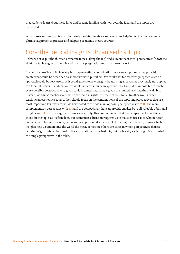that students learn about these links and become familiar with how both the ideas and the topics are connected.

With these cautionary notes in mind, we hope this overview can be of some help in putting the pragmatic pluralist approach in practice and adapting economic theory courses.

# Core Theoretical Insights Organised by Topic

Below we have put the thirteen economic topics (along the top) and sixteen theoretical perspectives (down the side) in a table to give an overview of how our pragmatic pluralist approach works.

It would be possible to fill in every box (representing a combination between a topic and an approach) to create what could be described as 'indiscriminate' pluralism. We think that for research purposes, such an approach could be very useful as it could generate new insights by utilising approaches previously not applied to a topic. However, for education we would not advise such an approach, as it would be impossible to teach every possible perspective on a given topic in a meaningful way, given the limited teaching time available. Instead, we advise teachers to focus on the main insights into their chosen topic. In other words, when teaching an economics course, they should focus on the combinations of the topic and perspectives that are most important. For every topic, we have noted to the two main opposing perspectives with ■, the main complementary perspective with  $\Box$ , and the perspectives that can provide smaller but still valuable additional insights with  $\pm$ . In this way, many boxes stay empty. This does not mean that the perspective has nothing to say on the topic, as it often does. But economics education requires us to make choices as to what to teach and what not. In this overview, below we have presented an attempt at making such choices, asking which insights help us understand the world the most. Sometimes there are cases in which perspectives share a certain insight. This is discussed in the explanations of the insights, but for brevity each insight is attributed to a single perspective in the table.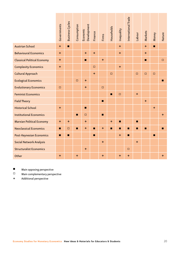|                                                                                                           | Governments      | <b>Business Cycles</b> | Consumption | Development<br>Economic | Finance          | <b>Firms</b>   | Households     | Inequality     | International Trade | Labour         | Markets        | Money          | Nature    |
|-----------------------------------------------------------------------------------------------------------|------------------|------------------------|-------------|-------------------------|------------------|----------------|----------------|----------------|---------------------|----------------|----------------|----------------|-----------|
| <b>Austrian School</b>                                                                                    | $\ddot{}$        | $\blacksquare$         |             |                         |                  |                |                | $\pm$          |                     |                | $\ddot{}$      | $\blacksquare$ |           |
| <b>Behavioural Economics</b>                                                                              | $\color{red}{+}$ |                        |             | $\ddot{}$               | $\ddot{}$        |                |                | $\ddot{}$      |                     |                | $\ddagger$     |                |           |
| <b>Classical Political Economy</b>                                                                        | $\color{red}{+}$ |                        |             | $\blacksquare$          |                  | $+$            |                |                |                     |                | $\blacksquare$ |                | $\Box$    |
| <b>Complexity Economics</b>                                                                               | $\ddot{}$        |                        |             |                         | $\Box$           |                |                | $\ddot{}$      |                     |                |                |                |           |
| Cultural Approach                                                                                         |                  |                        |             |                         | $\color{red}{+}$ |                | $\Box$         |                |                     | $\Box$         | $\Box$         | $\Box$         |           |
| <b>Ecological Economics</b>                                                                               |                  |                        | $\square$   | $\color{red}{+}$        |                  |                |                |                |                     |                |                |                | П         |
| <b>Evolutionary Economics</b>                                                                             | $\Box$           |                        |             | $\ddot{}$               |                  | $\Box$         |                |                |                     |                |                |                |           |
| <b>Feminist Economics</b>                                                                                 |                  |                        |             |                         |                  |                | $\blacksquare$ | $\Box$         |                     | $\ddot{}$      |                |                |           |
| <b>Field Theory</b>                                                                                       |                  |                        |             |                         |                  | $\blacksquare$ |                |                |                     |                | $\ddot{}$      |                |           |
| <b>Historical School</b>                                                                                  | $+$              |                        |             | $\blacksquare$          |                  |                |                |                |                     |                |                | $+$            |           |
| <b>Institutional Economics</b>                                                                            |                  |                        | П           | $\Box$                  |                  | П              |                |                |                     |                |                |                | $\ddot{}$ |
| <b>Marxian Political Economy</b>                                                                          | $\ddagger$       | $+$                    |             | $\ddot{}$               |                  |                | $\ddot{}$      | П              |                     | п              |                |                |           |
| <b>Neoclassical Economics</b>                                                                             | П                | $\Box$                 | П           | $\ddot{}$               | $\blacksquare$   | $\ddot{}$      | $\blacksquare$ | $\blacksquare$ | П                   | $\blacksquare$ | $\blacksquare$ |                | П         |
| Post-Keynesian Economics                                                                                  | $\blacksquare$   | $\blacksquare$         |             |                         | $\blacksquare$   |                |                | $\ddagger$     | $\blacksquare$      |                |                | $\blacksquare$ |           |
| Social Network Analysis                                                                                   |                  |                        |             |                         |                  | $\ddot{}$      |                |                |                     | $\ddag$        |                |                |           |
| <b>Structuralist Economics</b>                                                                            |                  |                        |             | $\ddot{}$               |                  |                |                |                | □                   |                |                |                |           |
| Other                                                                                                     | $+$              |                        | $+$         |                         |                  | $+$            |                | $+$            | $\pm$               |                |                |                | $+$       |
| П<br>Main opposing perspective<br>$\Box$<br>Main complementary perspective<br>Additional perspective<br>+ |                  |                        |             |                         |                  |                |                |                |                     |                |                |                |           |
| Economy Studies for Monetary Economics New Ideas & Materials for Educators & Students                     |                  |                        |             |                         |                  |                |                |                |                     |                | 20             |                |           |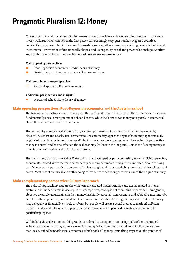# Pragmatic Pluralism 12: Money

Money rules the world, or at least it often seems to. We all use it every day, so we often assume that we know it very well. But what is money in the first place? This seemingly easy question has triggered countless debates for many centuries. At the core of these debates is whether money is something purely technical and instrumental, or whether it fundamentally shapes, and is shaped, by social and power relationships. Another key insight is that cultural practices influenced how we see and use money.

#### Main opposing perspectives

- Post-Keynesian economics: Credit theory of money
- Austrian school: Commodity theory of money outcome

#### Main complementary perspective

 $\Box$  Cultural approach: Earmarking money

#### Additional perspectives and insights

+ Historical school: State theory of money

#### Main opposing perspectives: Post-Keynesian economics and the Austrian school

The two main contrasting views on money are the credit and commodity theories. The former sees money as a fundamentally social arrangement of debt and credit, while the latter views money as a purely instrumental object that can act as a means of exchange.

The commodity view, also called metallism, was first proposed by Aristotle and is further developed by classical, Austrian and neoclassical economists. The commodity approach argues that money spontaneously originated to replace barter as it is more efficient to use money as a medium of exchange. In this perspective, money is neutral and has no effect on the real economy (at least in the long run). This idea of seeing money as a veil is often referred to as the classical dichotomy.

The credit view, first put forward by Plato and further developed by post-Keynesian, as well as Schumpeterian, economists, instead views the real and monetary economy as fundamentally interconnected, also in the long run. Money in this perspective is understood to have originated from social obligations in the form of debt and credit. Most recent historical and anthropological evidence tends to support this view of the origins of money.

#### Main complementary perspective: Cultural approach

The cultural approach investigates how historically situated understandings and norms related to money evolve and influence its role in society. In this perspective, money is not something impersonal, homogenous, objective or purely quantitative. In fact, money has highly personal, heterogenous and subjective meanings for people. Cultural practices, rules and habits around money are therefore of great importance. Official money may be legally or financially entirely uniform, but people will create special monies to mark off different activities and social relations. This practice is called earmarking as people designate certain monies for particular purposes.

Within behavioural economics, this practice is referred to as mental accounting and is often understood as irrational behaviour. They argue earmarking money is irrational because it does not follow the rational man, as described by neoclassical economics, which pools all money. From this perspective, the practice of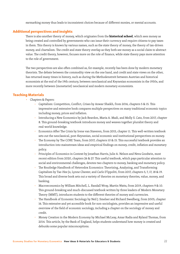earmarking money thus leads to inconsistent choices because of different monies, or mental accounts.

#### Additional perspectives and insights

There is also another theory of money, which originates from the **historical school**, which sees money as being created and controlled by governments who can issue their currency and require citizens to pay taxes in them. This theory is known by various names, such as the state theory of money, the theory of tax-driven money, and chartalism. The credit and state theory overlap as they both see money as a social claim to abstract value. The credit theory, however, focuses more on the role of finance, while state theory pays more attention to the role of government.

The two perspectives are also often combined as, for example, recently has been done by modern monetary theorists. The debate between the commodity view on the one hand, and credit and state views on the other, has returned many times in history, such as during the Methodenstreit between Austrian and historical economists at the end of the 19th century, between neoclassical and Keynesian economists in the 1930s, and more recently between (monetarist) neoclassical and modern monetary economists.

- Chapters & Papers:
	- □ Capitalism: Competition, Conflict, Crises by Anwar Shaikh, from 2016, chapters 5 & 15. This impressive and extensive book compares multiple perspectives on many traditional economic topics including money, prices and inflation.
	- Introducing a New Economics by Jack Reardon, Maria A. Madi, and Molly S. Cato, from 2017, chapter 8. This ground-breaking textbook introduces money and weaves together pluralist theory and real-world knowledge.
	- Economics After The Crisis by Irene van Staveren, from 2015, chapter 11. This well-written textbook sets out the neoclassical, post-Keynesian, social economic and institutional perspectives on money.
	- □ The Economy by The CORE Team, from 2017, chapters 10 & 15. This successful textbook provides an introduction into mainstream ideas and empirical findings on money, credit, inflation and monetary policy.
	- Principles of Economics in Context by Jonathan Harris, Julie A. Nelson and Neva Goodwin, most recent edition from 2020, chapters 26 & 27. This useful textbook, which pays particular attention to social and environmental challenges, devotes two chapters to money, banking and monetary policy.
	- □ The Routledge Handbook of Heterodox Economics: Theorizing, Analyzing, and Transforming Capitalism by Tae-Hee Jo, Lynne Chester, and Carlo D'Ippoliti, from 2017, chapters 5, 7, 17, 18 & 19. This broad and diverse book sets out a variety of theories on monetary theories, value, money, and banking.
	- □ Macroeconomics by William Mitchell, L. Randall Wray, Martin Watts, from 2019, chapters 9 & 10. This ground-breaking and much-discussed textbook written by three leaders of Modern Monetary Theory (MMT), introduces students to the different theories of money and currencies.
	- The Handbook of Economic Sociology by Neil J. Smelser and Richard Swedberg, from 2005, chapter 16. This extensive and yet accessible book for non-sociologists, provides an impressive and useful overview of the field of economic sociology, including a chapter on the sociology of money and credit.
	- Money Creation in the Modern Economy by Michael McLeay, Amar Radia and Ryland Thomas, from 2014. This article, by the Bank of England, helps students understand how money is created and debunks some popular misconceptions.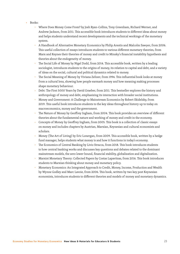- Books:
	- □ Where Does Money Come From? by Josh Ryan-Collins, Tony Greenham, Richard Werner, and Andrew Jackson, from 2011. This accessible book introduces students to different ideas about money and helps students understand recent developments and the technical workings of the monetary system.
	- □ A Handbook of Alternative Monetary Economics by Philip Arestis and Malcolm Sawyer, from 2006. This useful collection of essays introduces students to various different monetary theories, from Marx and Keynes their theories of money and credit to Minsky's financial instability hypothesis and theories about the endogeneity of money.
	- The Social Life of Money by Nigel Dodd, from 2014. This accessible book, written by a leading sociologist, introduces students to the origins of money, its relation to capital and debt, and a variety of ideas on the social, cultural and political dynamics related to money.
	- The Social Meaning of Money by Viviana Zelizer, from 1994. This influential book looks at money from a cultural lens, showing how people earmark money and how meaning making processes shape monetary behaviour.
	- Debt: The First 5000 Years by David Graeber, from 2011. This bestseller explores the history and anthropology of money and debt, emphasizing its interaction with broader social institutions.
	- Money and Government: A Challenge to Mainstream Economics by Robert Skidelsky, from 2019. This useful book introduces students to the key ideas throughout history up to today on macroeconomics, money and the government.
	- The Nature of Money by Geoffrey Ingham, from 2004. This book provides an overview of different theories about the fundamental nature and working of money and credit in the economy.
	- Concepts of Money by Geoffrey Ingham, from 2005. This book is a collection of classic essays on money and includes chapters by Austrian, Marxian, Keynesian and cultural economists and scholars.
	- Money (The Art of Living) by Eric Lonergan, from 2009. This accessible book, written by a hedge fund manager, helps students what money is and how it functions in today's economy.
	- The Economics of Central Banking by Livio Stracca, from 2018. This book introduces students to how central banking works and discusses key questions and debates related to the dominant mainstream models, the zero lower bound, financial stability, globalization and digitalization.
	- □ Marxist Monetary Theory: Collected Papers by Costas Lapavitsas, from 2016. This book introduces students to Marxian thinking about money and monetary policy.
	- □ Monetary Economics: An Integrated Approach to Credit, Money, Income, Production and Wealth by Wynne Godley and Marc Lavoie, from 2006. This book, written by two key post Keynesian economists, introduces students to different theories and models of money and monetary dynamics.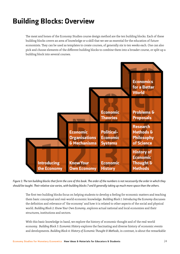# Building Blocks: Overview

The meat and bones of the Economy Studies course design method are the ten building blocks. Each of these building blocks covers an area of knowledge or a skill that we see as essential for the education of future economists. They can be used as templates to create courses, of generally six to ten weeks each. One can also pick and choose elements of the different building blocks to combine them into a broader course, or split up a building block into several courses.



*Figure 1: The ten building blocks that form the core of this book. The order of the numbers is not necessarily the order in which they should be taught. Their relative size varies, with building blocks 7 and 8 generally taking up much more space than the others.* 

The first two building blocks focus on helping students to develop a feeling for economic matters and teaching them basic conceptual and real-world economic knowledge. *Building Block 1: Introducing the Economy* discusses the definition and relevance of 'the economy' and how it is related to other aspects of the social and physical world. *Building Block 2: Know Your Own Economy*, explores actual national and local economies and their structures, institutions and sectors.

With this basic knowledge in hand, we explore the history of economic thought and of the real-world economy. *Building Block 3: Economic History* explores the fascinating and diverse history of economic events and developments. *Building Block 4: History of Economic Thought & Methods*, in contrast, is about the remarkable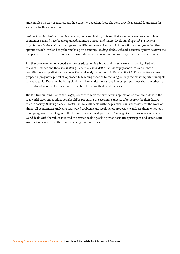and complex history of ideas about the economy. Together, these chapters provide a crucial foundation for students' further education.

Besides knowing basic economic concepts, facts and history, it is key that economics students learn how economies can and have been organised, at micro-, meso- and macro-levels. *Building Block 5: Economic Organisations & Mechanisms* investigates the different forms of economic interaction and organisation that operate at each level and together make up an economy. *Building Block 6: Political-Economic Systems* reviews the complex structures, institutions and power relations that form the overarching structure of an economy.

Another core element of a good economics education is a broad and diverse analytic toolkit, filled with relevant methods and theories. *Building Block 7: Research Methods & Philosophy of Science* is about both quantitative and qualitative data collection and analysis methods. In *Building Block 8: Economic Theories* we propose a 'pragmatic pluralist' approach to teaching theories by focusing on only the most important insights for every topic. These two building blocks will likely take more space in most programmes than the others, as the centre of gravity of an academic education lies in methods and theories.

The last two building blocks are largely concerned with the productive application of economic ideas in the real world. Economics education should be preparing the economic experts of tomorrow for their future roles in society. *Building Block 9: Problems & Proposals* deals with the practical skills necessary for the work of almost all economists: analysing real-world problems and working on proposals to address them, whether in a company, government agency, think tank or academic department. *Building Block 10: Economics for a Better World* deals with the values involved in decision making, asking what normative principles and visions can guide actions to address the major challenges of our times.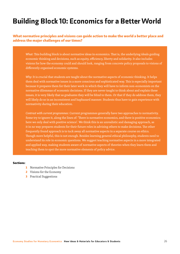# Building Block 10: Economics for a Better World

#### What normative principles and visions can guide action to make the world a better place and address the major challenges of our times?

*What*: This building block is about normative ideas in economics. That is, the underlying ideals guiding economic thinking and decisions, such as equity, efficiency, liberty and solidarity. It also includes visions for how the economy could and should look, ranging from concrete policy proposals to visions of differently organised economic systems.

*Why*: It is crucial that students are taught about the normative aspects of economic thinking. It helps them deal with normative issues in a more conscious and sophisticated way. This is especially important because it prepares them for their later work in which they will have to inform non-economists on the normative dilemmas of economic decisions. If they are never taught to think about and explain these issues, it is very likely that as graduates they will be blind to them. Or that if they do address them, they will likely do so in an inconsistent and haphazard manner. Students thus have to gain experience with normativity during their education.

*Contrast with current programmes*: Current programmes generally have two approaches to normativity. Some try to ignore it, along the lines of: 'There is normative economics, and there is positive economics; here we only deal with positive science'. We think this is an unrealistic and damaging approach, as it in no way prepares students for their future roles in advising others to make decisions. The other frequently found approach is to tuck away all normative aspects in a separate course on ethics. Though more helpful, this is not enough. Besides learning general ethical philosophy, students need to understand its role in economic questions. We suggest teaching normative aspects in a more integrated and applied way, making students aware of normative aspects of theories when they learn them and teaching them to spot the more normative elements of policy advice.

#### Sections:

- 1 Normative Principles for Decisions
- 2 Visions for the Economy
- 3 Practical Suggestions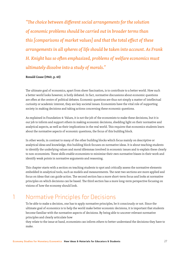*"The choice between different social arrangements for the solution of economic problems should be carried out in broader terms than this [comparisons of market values] and that the total effect of these arrangements in all spheres of life should be taken into account. As Frank H. Knight has so often emphasized, problems of welfare economics must ultimately dissolve into a study of morals."* 

**Ronald Coase (1960, p. 43)**

The ultimate goal of economics, apart from sheer fascination, is to contribute to a better world. How such a better world looks however, is hotly debated. In fact, normative discussions about economic questions are often at the centre of political debates. Economic questions are thus not simply a matter of intellectual curiosity or academic interest, they are key societal issues. Economists have the vital role of supporting society in making decisions and taking actions concerning these economic questions.

As explained in Foundation 4: Values, it is not the job of the economists to make these decisions, but it is our job to inform and support others in making economic decisions, shedding light on their normative and analytical aspects, as well as their implications in the real world. This requires that economics students learn about the normative aspects of economic questions, the focus of this building block.

In other words, in contrast to many of the other building blocks which focus mainly on descriptive or analytical ideas and knowledge, this building block focuses on normative ideas. It is about teaching students to identify the underlying values and moral dilemmas involved in economic issues and to explain these clearly to non-economists. These skills enable economists to minimise their own normative biases in their work and identify weak points in normative arguments and reasoning.

This chapter starts with a section on teaching students to spot and critically assess the normative elements embedded in analytical tools, such as models and measurements. The next two sections are more applied and focus on ideas that can guide action. The second section has a more short-term focus and looks at normative principles on which decisions can be based. The third section has a more long-term perspective focusing on visions of how the economy should look.

### 1 Normative Principles for Decisions

To be able to make a decision, one has to apply normative principles, be it consciously or not. Since the ultimate goal of economics is to help the world make better economic decisions, it is important that students become familiar with the normative aspects of decisions. By being able to uncover relevant normative principles and clearly articulate how

they relate to the issue at hand, economists can inform others to better understand the decisions they have to make.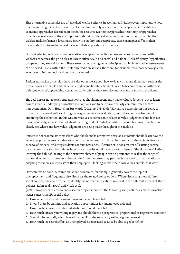These normative principles are often called 'welfare criteria' in economics. It is, however, important to note that maximising the welfare or utility of individuals is only one such normative principle. The different economic approaches described in the online resource Economic Approaches (economy.st/approaches) provides an overview of the assumptions underlying different economic theories. Other principles than welfare include fairness, legitimacy, security, stability, and reciprocity. These principles differ in their translatability into mathematical form and their applicability in practice.

Of particular importance is how normative principles deal with the pros and cons of decisions. Within welfare economics, the principles of Pareto efficiency, 'do no harm', and Kaldor-Hicks efficiency, 'hypothetical compensation', are well known. These are only two among many principles on which normative assessments can be based. Solely within the utilitarian tradition already, there are, for example, also those who argue the average or minimum utility should be maximised.

Besides utilitarian principles there are also other ideas about how to deal with moral dilemmas, such as the precautionary principle and inalienable rights and liberties. Students need to become familiar with these different ways of approaching normative trade-offs, as they are relevant for many real-world problems.

The goal here is not to teach students how they should independently make value judgments, but to learn how to identify underlying normative assumptions and trade-offs and clearly communicate them to non-economists. Or in Huei-chun Su's words (2012, pp. 378-379): "Normative economics in this sense is primarily concerned with exploring the way of making an evaluation, but it does not have to commit to endorsing the evaluation. In this way, normative economics only relates to value judgements but does not make value judgements." It is not about teaching students 'what is right', it is about teaching them how to clearly see where and how value judgments are being made throughout the analysis.

Since it is not economists themselves who should make normative decisions, students should learn how the general population sees certain central normative trade-offs. This can be done by looking at interviews and surveys of citizens, or letting students conduct new ones. Of course, it is not a matter of learning survey data by heart, nor should students internalise majority opinions on a certain issue as 'the right view'. Rather, learning the habit of looking at the normative choices of people can help students to realise the range of value-judgements that may exist beyond the 'common sense' they personally are used to or automatically adopting the values or interests of their employers – looking outside their own values bubble, as it were.

How can this be done? A course on labour economics, for example, generally covers the topic of unemployment and frequently also discusses the related policy options. When discussing these different social policies, one could explicitly identify the normative questions involved in the different aspects of those policies. Kuhn et al. (2020) and Nicoli et al.

(2020), two papers related to one research project, identified the following six questions as main normative issues concerning EU social policy:

- 1. How generous should the unemployment benefit levels be?
- 2. Should there be training and education opportunities for unemployed citizens?
- 3. How much between-country redistribution should there be?
- 4. How much tax are you willing to pay and should there be progressive, proportional or regressive taxation?
- 5. Should it be centrally administered by the EU or decentrally by national governments?
- 6. How much job search effort do unemployed citizens need to do to be able to get benefits?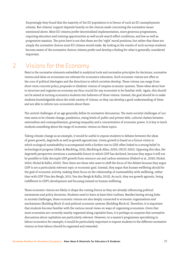Surprisingly they found that the majority of the EU population is in favour of such an EU unemployment scheme. But citizens' support depends heavily on the choices made concerning the normative issues mentioned above. Most EU citizens prefer decentralised implementation, more generous programmes, requiring education and training opportunities as well as job search effort conditions, and low as well as progressive taxation. The point here is not that these are the 'right' moral positions, but rather that these are simply the normative choices most EU citizens would make. By looking at the results of such surveys students become aware of the normative choices citizens prefer and develop a feeling for what is generally considered important.

### 2 Visions for the Economy

Next to the normative elements embedded in analytical tools and normative principles for decisions, normative visions and ideas on economies are relevant for economics education. Such economic visions are often at the core of political ideologies and the directions in which societies develop. These visions can range from short-term concrete policy proposals to idealistic visions of utopian economic systems. These ideas about how to structure and organise an economy are thus crucial for any economist to be familiar with. Again, this should not be aimed at turning economics students into believers of those visions. Instead, the goal should be to make students knowledgeable about the wide variety of visions, so they can develop a good understanding of them and are able to inform non-economists about them.

The central challenges of an age generally define its normative discussions. The main societal challenges of our time seem to be climate change, pandemics, rising levels of public and private debt, cultural clashes between nationalism and cosmopolitanism, growing inequality and a concentration of economic power. It is key to teach students something about the range of economic visions on these topics.

Taking climate change as an example, it would be useful to expose students to debates between the ideas of green growth, degrowth as well as growth agnosticism. Green growth is based on a future vision in which ecological sustainability is accompanied with a further rise in GDP, often linked to a strong belief in technological progress (Allan & Meckling, 2021; Meckling & Allan, 2020; OECD, 2021). Opposing this idea, the degrowth perspective envisions a sustainable future in which GDP has declined, because they argue it will not be possible to fully decouple GDP growth from resource use and carbon emissions (Haberl et al., 2020; Hickel, 2020; Hickel & Kallis, 2020). Then there are those who want to shift the focus of the debate because they argue GDP is not a particularly relevant topic or economic goal. Instead, they argue that human wellbeing should be the goal of economic activity, making them focus on the relationship of sustainability with wellbeing, rather than with GDP (Van den Bergh, 2011; Van den Bergh & Kallis, 2012). As such, they are growth agnostic, being indifferent to GDP's development and focusing instead on human wellbeing.

These economic visions are likely to shape the coming future as they are already influencing political movements and policy decisions. Students need to learn at least their outlines. Besides having strong links to societal challenges, these economic visions are also deeply connected to economic organisations and mechanisms (Building Block 5) and political-economic systems (Building Block 6). Therefore, it is important that students become familiar with the various moral views on ways of organising economies. Given that most economies are currently mainly organised along capitalist lines, it is perhaps no surprise that normative discussions about capitalism are particularly relevant. However, in a master's programme specialising in labour economics for example, it would be particularly important to expose students to the different normative visions on how labour should be organised and rewarded.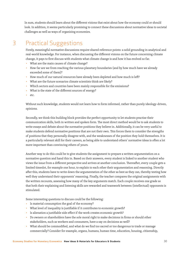In sum, students should learn about the different visions that exist about how the economy could or should look. In addition, it seems particularly promising to connect these discussions about normative ideas to societal challenges as well as ways of organising economies.

# 3 Practical Suggestions

Firstly, meaningful normative discussions require shared reference points: a solid grounding in analytical and real-world knowledge. For instance, when discussing the different visions on the future concerning climate change, it pays to first discuss with students what climate change is and how it has evolved so far.

- What are the main causes of climate change?
- How far are we from reaching the various planetary boundaries (and by how much have we already exceeded some of them)?
- How much of our natural resources have already been depleted and how much is left?
- What are the future scenarios climate scientists think are likely?
- Which sectors and countries have been mainly responsible for the emissions?
- What is the state of the different sources of energy?
- $_{\text{e}^{\dagger}c}$

Without such knowledge, students would not learn how to form informed, rather than purely ideology-driven, opinions.

Secondly, we think this building block provides the perfect opportunity to let students practise their communication skills, both in written and spoken form. The most direct method would be to ask students to write essays and debate about the normative positions they believe in. Additionally, it can be very useful to make students defend normative positions that are not their own. This forces them to consider the strengths of positions that they personally disagree with, and the weaknesses of the position they hold themselves. It is a particularly relevant skill for their careers, as being able to understand others' normative ideas is often a lot more important than convincing others of yours.

Another way to do this could be to give students the assignment to prepare a written argumentation on a normative question and hand this in. Based on their answers, every student is linked to another student who views the issue from a different perspective and arrives at another conclusion. Thereafter, every couple gets a limited timeslot, for example one hour, to explain to each other their argumentation and reasoning. Directly after this, students have to write down the argumentation of the other as best as they can, thereby testing how well they understand their opponents' reasoning. Finally, the teacher compares the original assignments with the written recounts, assessing how many of the key arguments match. Each couple receives one grade so that both their explaining and listening skills are rewarded and teamwork between (intellectual) opponents is stimulated.

Some interesting questions to discuss could be the following:

- Is material consumption the goal of the economy?
- What level of inequality is justifiable if it contributes to economic growth?
- Is alienation a justifiable side effect if the work creates economic growth?
- Do owners or shareholders have the sole moral right to make decisions in firms or should other stakeholders, such as workers and consumers, have a say on decisions as well?
- What should be commodified, and what do we find too sacred or too dangerous to trade or manage commercially? Consider for example, organs, humans, human time, education, housing, citizenship,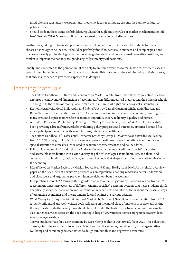mind-altering substances, weapons, land, medicine, ideas, techniques, prisons, the right to pollute, or political office.

Should trade in these items be forbidden, regulated through limiting rules or market mechanisms, or left free? Sandel's What Money Can Buy provides great material for such discussions.

Furthermore, taking controversial positions should not be punished, but nor should students be pushed to choose an ideology to believe in. It should be perfectly fine if students take nuanced and complex positions that are not easily put in ideological boxes. So when giving such randomly assigned normative positions, we think it is important to not only assign ideologically stereotypical positions.

Finally, and connected to the point above, it can help to link such exercises to real historical or recent cases to ground them in reality and link them to specific contexts. This is also what they will be doing in their careers, so it only makes sense to give them experience in doing so.

- The Oxford Handbook of Ethics and Economics by Mark D. White, from This extensive collection of essays explores the many moral dimensions of economics, from different ethical theories and the ethics in schools of thought, to the ethics of money, labour markets, risk, law, civil rights and ecological sustainability.
- Economic Analysis, Moral Philosophy, and Public Policy by Daniel Hausman, Michael McPherson, and Debra Satz, most recent edition from 2016. A great introduction into normative economics, covering its many areas and topics from welfare economics and utility theory to liberty, equality and justice.
- A Guide to Ethics and Public Policy: Finding Our Way by D. Don Welch, from 2014. A brief but insightful book providing a broad framework for evaluating policy proposals and outcomes, organised around five moral principles: benefit, effectiveness, fairness, fidelity, and legitimacy.
- The Oxford Handbook of Professional Economic Ethics by George F. DeMartino and Deirdre McCloskey, from 2016. This insightful collection of essays explores the different aspects of ethics in economics, with special attention to ethical issues related to economic theory, research and policy advice.
- Political Ideologies: An Introduction by Andrew Heywood, most recent edition from 2021. A useful and accessible introduction into a wide variety of political ideologies, from liberalism, socialism, and conservatism to feminism, nationalism, and green ideology, that shape much of our normative thinking on the economy.
- Moral Views on Market Society by Marion Fourcade and Kieran Healy, from 2007. An insightful overview paper on the key different normative perspectives on capitalism, enabling readers to better understand and place ideas and arguments prevalent in many debates about the economy.
- Is Capitalism Obsolete? A Journey Through Alternative Economic Systems by Giacomo Corneo, from 2017. A systematic and sharp overview of different (mainly socialist) economic systems that helps students think analytically about their allocation and coordination mechanisms and informs them about the possible ways of organising economies and the arguments for and against the various options.
- What Money Can't Buy: The Moral Limits of Markets by Michael J. Sandel, most recent edition from 2012. A highly influential and well-written book reflecting on the moral place of markets in society and asking the key question whether everything should be up for sale. The Institute for New Economic Thinking has also launched a video series on the book and topic: https://www.ineteconomics.org/perspectives/videos/ what-money-cant-buy
- Thrive: Fundamentals for a New Economy by Kees Klomp & Shinta Oosterwaal, from 2021. This collection of essays introduces students to various visions for how the economy could be run, from regenerative, wellbeing and common good economics, to doughnut, buddhist and degrowth economics.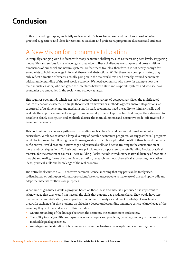# Conclusion

In this concluding chapter, we briefly review what this book has offered and then look ahead, offering practical suggestions and ideas for economics teachers and professors, programme directors and students.

## 1 A New Vision for Economics Education

Our rapidly changing world is faced with many economic challenges, such as increasing debt levels, staggering inequalities and serious forms of ecological breakdown. These challenges are complex and cross multiple dimensions of our social and natural systems. To face these troubles, therefore, it is not nearly enough for economists to hold knowledge in formal, theoretical abstractions. Whilst these may be sophisticated, they only reflect a fraction of what is actually going on in the real world. We need broadly-trained economists with an understanding of the real-world economy. We need economists who know for example how the main industries work, who can grasp the interfaces between state and corporate systems and who see how economies are embedded in the society and ecology at large.

This requires open minds which can look at issues from a variety of perspectives. Given the multifaceted nature of economic systems, no single theoretical framework or methodology can answer all questions, or capture all of its dimensions and mechanisms. Instead, economists need the ability to think critically and evaluate the appropriateness of a range of fundamentally different approaches. In doing so, they also need to be able to clearly distinguish and explicitly discuss the moral dilemmas and normative trade-offs involved in economic decisions.

This book sets out a concrete path towards building such a pluralist and real-world based economics curriculum. While we envision a large diversity of possible economics programs, we suggest that all programs would be improved by following these three organising principles: a pluralist toolkit of theories and methods, sufficient real-world economic knowledge and practical skills, and active training in the consideration of moral and social questions. To flesh out these principles, we propose ten concrete Building Blocks: practical material for the creation of courses. These Building Blocks include introductory material, history of economic thought and reality, forms of economic organisation, research methods, theoretical approaches, normative ideas, practical skills and knowledge of the real economy.

The entire book carries a CC-BY creative common licence, meaning that any part can be freely used, redistributed, or built upon without restrictions. We encourage people to make use of this and apply, edit and adapt the material for their own purposes.

What kind of graduates would a program based on these ideas and materials produce? It is important to acknowledge that they would not have all the skills that current-day graduates have. They would have less mathematical sophistication, less expertise in econometric analysis, and less knowledge of neoclassical theory. In exchange for this, students would gain a deeper understanding and more concrete knowledge of the economy they will live and work in. This includes:

- An understanding of the linkages between the economy, the environment and society.
- The ability to analyse different types of economic topics and problems, by using a variety of theoretical and methodological approaches.
- An integral understanding of how various smaller mechanisms make up larger economic systems.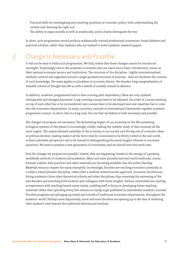- Practical skills for investigating and resolving questions of economic policy: both understanding the context and choosing the right tool.
- The ability to argue morally as well as analytically, and to clearly distinguish the two.

In short, such programmes would produce academically-trained professional economists: broad thinkers and practical scholars, rather than students who are trained to write academic research papers.

### 2 Change Is Necessary and Possible

It will not be easy to build such programmes. We fully realise that these changes cannot be introduced overnight. Surprisingly rare is the academic economist who can teach even a basic introductory course on their national economic sectors and institutions. The structure of the discipline - highly internationalised, methods-centred and organised around a single pyramid structure of journals - does not facilitate the creation of such knowledge. The same applies to pluralism in economic theory: the decades-long marginalization of valuable schools of thought has left us with a dearth of suitably trained academics.

In addition, academic programmes tend to have a strong path-dependency. Most are only updated infrequently and changed piecemeal. Long-running courses have to be adjusted, the order of courses stacking on top of each other has to be reconsidered, new courses have to be developed and new expertise has to come into the economics departments. In many countries, national or international frameworks regulate academic programme content. In short, this is a long road, but one that we believe is both necessary and possible.

The changes we propose are necessary. The devastating impact of our economy on the life-sustaining ecological systems of this planet is increasingly visible, making the realistic study of that economy all the more urgent. The unprecedented centrality of the economy in our society and the big role of economic ideas in political decision-making make it all the more vital for economists to be firmly rooted in the real world, to have a pluralist perspective and to be trained in distinguishing the moral tangles inherent to economic questions. We need to prepare a new generation of economists, and we should start this work now.

And the changes we propose are possible. Indeed, they are happening, thanks to the energy of a growing worldwide network of students and academics. More and more pluralist and real-world textbooks, course formats, readers, best practices and other materials are becoming available (see the online *Teaching Materials* resource chapter for many examples). Increasingly, faculties are teaching economics primarily as a subject-based pluralist discipline, rather than a method-centred monist approach. Economic faculties are hiring academics from other theoretical schools and other disciplines, thus reversing the narrowing of the past decades and enriching both students and colleagues with fresh insights. Various universities are starting to experiment with teaching-based career tracks, enabling staff to focus on developing better teaching materials rather than spending every free minute on trying to get published in mainstream academic journals. Pluralist programs are springing up inside and outside of traditional economics departments, throughout the academic world. Perhaps most importantly, more and more faculties are opening up to the idea of widening their student's view beyond the traditional theories and methods.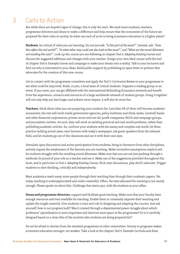# 3 Calls to Action

But while there are hopeful signs of change, this is only the start. We need more students, teachers, programme directors and deans to make a difference and help ensure that the economists of the future are prepared for their roles in society. So what can each of us do to bring economics education to a higher plane?

**Students**, be critical of what you are learning. Do not just ask: *"Is this part of the exam?"*. Instead, ask: *"Does this reflect the real world?"*, *"In what other way could one also look at this issue?"*, and *"What are the moral dilemmas surrounding this case?"*. Look up the course you are following in chapter *Tool 2: Adapting Existing Courses* and discuss the suggested additions and changes with your teacher. Design your own ideal course with the tool of chapter *Tool 4: Example Courses* and campaign to make your dream into a reality. Talk to your lecturers and find out who is interested in your ideas. Build public support by publishing an open letter or petition that advocates for the creation of this new course.

Get in contact with the programme committee and apply the *Tool 3: Curriculum Review* to your programme to see what could be improved. Build, or join, a local team of critical students. Organise a reading group or an event. If you want, you can get affiliated with the international Rethinking Economics network and benefit from the experience, contacts and resources of a large worldwide network of student groups. Doing it together will not only help you last longer and achieve more impact, it will also be more fun.

**Teachers**, think about what you are preparing your students for. Less than 3% of them will become academic economists, the rest will work inside government agencies, policy institutes and think-tanks, (central) banks and other financial corporations, private sector and not-for-profit companies, NGOs and campaign groups, and journalistic entities. As such, they will work on tackling practical and real-world problems, rather than publishing academic articles. So, confront your students with the messy and complex real world, let them practice tackling actual cases, start lectures with today's newspaper, ask guest speakers from the relevant field, and let students go out of the classroom and see it with their own eyes.

Stimulate open discussions and active participation from students, bring in literature from other disciplines, actively expose the weaknesses of the theories you are teaching. Make normative assumptions explicit and let students struggle with the resulting moral dilemmas. Make sure that you are not just pushing through a textbook; be proud of your role as a teacher and *use* it. Make use of the suggestions provided throughout this book, and in particular in *Tool 2: Adapting Existing Courses*. Kick-start discussions, play devil's advocate. Trigger students to start thinking, critically and independently.

Most academics reach many more people through their teaching than through their academic papers. Yet today, teaching is underappreciated and under-rewarded. Often, the time allocated for teaching is not nearly enough. Please speak out about this. Challenge that status quo, with the students as your allies.

**Deans and programme directors**, support and facilitate good teaching. Make sure that your faculty have enough resources and time available for teaching. Enable them to constantly improve their teaching and update the taught material. Give students a voice and role in designing and adapting the courses. And ask yourself: how is our program built? Was it created through a departmental power struggle about which professors' specialisation is more important and deserves most space in the programme? Or is it carefully designed based on a clear idea of the societal roles students are being prepared for?

Do not be afraid to deviate from the standard programme at other universities. Variety in programs makes economics education stronger, not weaker. Take a look at the chapter *Tool 5: Example Curricula* and draw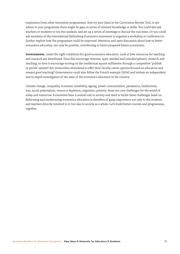inspiration from other innovative programmes. And try your hand at the Curriculum Review Tool, to see where in your programme there might be gaps in terms of relevant knowledge or skills. You could also ask teachers or students to run this analysis, and set up a series of meetings to discuss the outcomes. Or you could ask members of the international Rethinking Economics movement to organise a workshop or conference to further explore how the programme could be improved. Attention and open discussion about how to better economics education can only be positive, contributing to better prepared future economists.

**Governments**, create the right conditions for good economics education. Look at how resources for teaching and research are distributed. Does this encourage relevant, open-minded and interdisciplinary research and teaching, or does it encourage scoring on the intellectual square millimetre through a competitive 'publish or perish' system? Are universities stimulated to offer their faculty career options focused on education and reward good teaching? Governments could also follow the French example (2014) and initiate an independent and in-depth investigation of the state of the economics education in the country.

Climate change, inequality, economic instability, ageing, power concentration, pandemics, biodiversity loss, social polarisation, resource depletion, migration, poverty; these are core challenges for the world of today and tomorrow. Economists have a central role in society and need to tackle these challenges head-on. Reforming and modernising economics education is therefore of great importance not only to the students and teachers directly involved in it, but also to society as a whole. Let's build better courses and programmes, together.